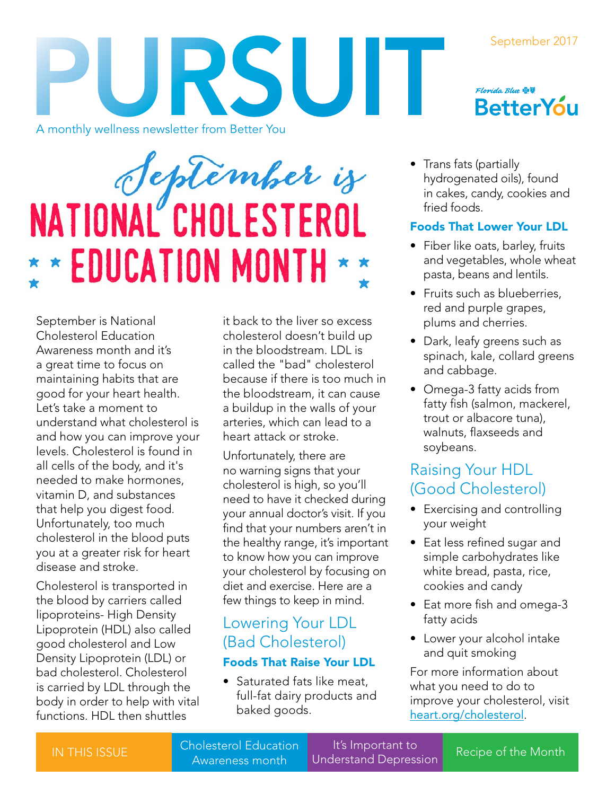#### September 2017



# Septémber is \* \* EDUCATION MONTH \* \*

September is National Cholesterol Education Awareness month and it's a great time to focus on maintaining habits that are good for your heart health. Let's take a moment to understand what cholesterol is and how you can improve your levels. Cholesterol is found in all cells of the body, and it's needed to make hormones, vitamin D, and substances that help you digest food. Unfortunately, too much cholesterol in the blood puts you at a greater risk for heart disease and stroke.

Cholesterol is transported in the blood by carriers called lipoproteins- High Density Lipoprotein (HDL) also called good cholesterol and Low Density Lipoprotein (LDL) or bad cholesterol. Cholesterol is carried by LDL through the body in order to help with vital functions. HDL then shuttles

it back to the liver so excess cholesterol doesn't build up in the bloodstream. LDL is called the "bad" cholesterol because if there is too much in the bloodstream, it can cause a buildup in the walls of your arteries, which can lead to a heart attack or stroke.

Unfortunately, there are no warning signs that your cholesterol is high, so you'll need to have it checked during your annual doctor's visit. If you find that your numbers aren't in the healthy range, it's important to know how you can improve your cholesterol by focusing on diet and exercise. Here are a few things to keep in mind.

## Lowering Your LDL (Bad Cholesterol)

#### Foods That Raise Your LDL

• Saturated fats like meat, full-fat dairy products and baked goods.



• Trans fats (partially hydrogenated oils), found in cakes, candy, cookies and fried foods.

## Foods That Lower Your LDL

- Fiber like oats, barley, fruits and vegetables, whole wheat pasta, beans and lentils.
- Fruits such as blueberries, red and purple grapes, plums and cherries.
- Dark, leafy greens such as spinach, kale, collard greens and cabbage.
- Omega-3 fatty acids from fatty fish (salmon, mackerel, trout or albacore tuna), walnuts, flaxseeds and soybeans.

## Raising Your HDL (Good Cholesterol)

- Exercising and controlling your weight
- Eat less refined sugar and simple carbohydrates like white bread, pasta, rice, cookies and candy
- Eat more fish and omega-3 fatty acids
- Lower your alcohol intake and quit smoking

For more information about what you need to do to improve your cholesterol, visit [heart.org/cholesterol](http://www.heart.org/HEARTORG/Conditions/Cholesterol/Cholesterol_UCM_001089_SubHomePage.jsp).

Iolesteror Luddation<br>Awareness month Understand Depression Recipe of the Month Cholesterol Education

It's Important to